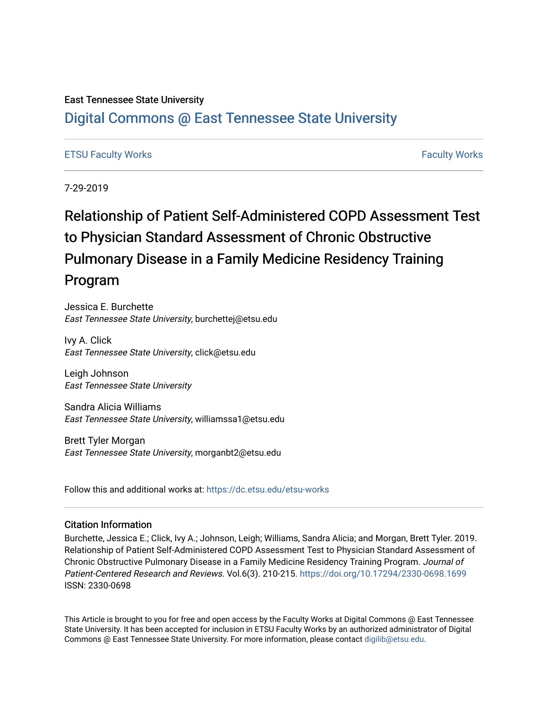### East Tennessee State University

## [Digital Commons @ East Tennessee State University](https://dc.etsu.edu/)

### [ETSU Faculty Works](https://dc.etsu.edu/etsu-works) [Faculty Works](https://dc.etsu.edu/faculty-works)

7-29-2019

# Relationship of Patient Self-Administered COPD Assessment Test to Physician Standard Assessment of Chronic Obstructive Pulmonary Disease in a Family Medicine Residency Training Program

Jessica E. Burchette East Tennessee State University, burchettej@etsu.edu

Ivy A. Click East Tennessee State University, click@etsu.edu

Leigh Johnson East Tennessee State University

Sandra Alicia Williams East Tennessee State University, williamssa1@etsu.edu

Brett Tyler Morgan East Tennessee State University, morganbt2@etsu.edu

Follow this and additional works at: [https://dc.etsu.edu/etsu-works](https://dc.etsu.edu/etsu-works?utm_source=dc.etsu.edu%2Fetsu-works%2F6364&utm_medium=PDF&utm_campaign=PDFCoverPages) 

#### Citation Information

Burchette, Jessica E.; Click, Ivy A.; Johnson, Leigh; Williams, Sandra Alicia; and Morgan, Brett Tyler. 2019. Relationship of Patient Self-Administered COPD Assessment Test to Physician Standard Assessment of Chronic Obstructive Pulmonary Disease in a Family Medicine Residency Training Program. Journal of Patient-Centered Research and Reviews. Vol.6(3). 210-215.<https://doi.org/10.17294/2330-0698.1699> ISSN: 2330-0698

This Article is brought to you for free and open access by the Faculty Works at Digital Commons @ East Tennessee State University. It has been accepted for inclusion in ETSU Faculty Works by an authorized administrator of Digital Commons @ East Tennessee State University. For more information, please contact [digilib@etsu.edu.](mailto:digilib@etsu.edu)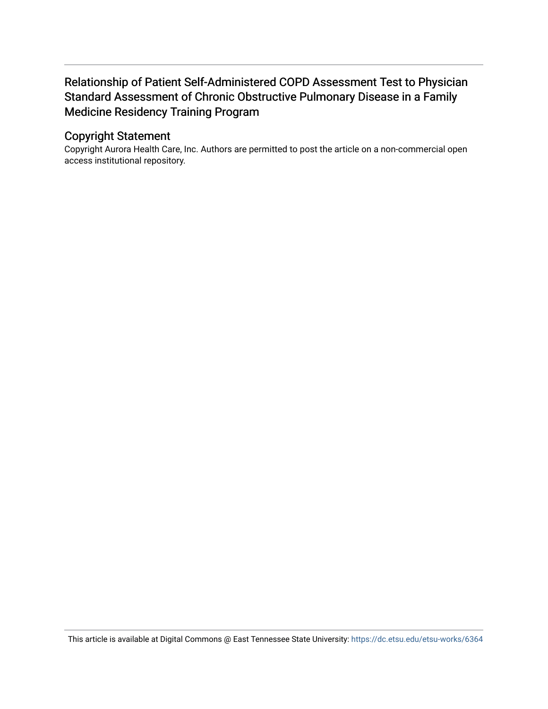## Relationship of Patient Self-Administered COPD Assessment Test to Physician Standard Assessment of Chronic Obstructive Pulmonary Disease in a Family Medicine Residency Training Program

## Copyright Statement

Copyright Aurora Health Care, Inc. Authors are permitted to post the article on a non-commercial open access institutional repository.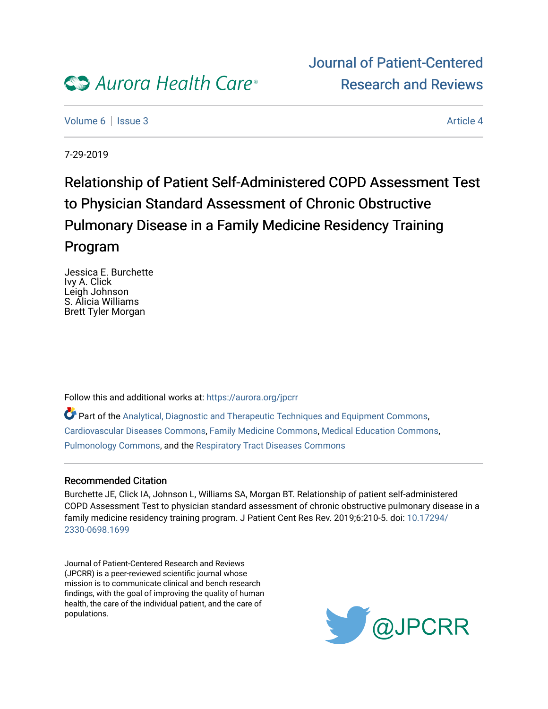

[Volume 6](https://digitalrepository.aurorahealthcare.org/jpcrr/vol6) | [Issue 3](https://digitalrepository.aurorahealthcare.org/jpcrr/vol6/iss3) Article 4

7-29-2019

# Relationship of Patient Self-Administered COPD Assessment Test to Physician Standard Assessment of Chronic Obstructive Pulmonary Disease in a Family Medicine Residency Training Program

Jessica E. Burchette Ivy A. Click Leigh Johnson S. Alicia Williams Brett Tyler Morgan

Follow this and additional works at: [https://aurora.org/jpcrr](https://digitalrepository.aurorahealthcare.org/jpcrr?utm_source=digitalrepository.aurorahealthcare.org%2Fjpcrr%2Fvol6%2Fiss3%2F4&utm_medium=PDF&utm_campaign=PDFCoverPages)

Part of the [Analytical, Diagnostic and Therapeutic Techniques and Equipment Commons](http://network.bepress.com/hgg/discipline/899?utm_source=digitalrepository.aurorahealthcare.org%2Fjpcrr%2Fvol6%2Fiss3%2F4&utm_medium=PDF&utm_campaign=PDFCoverPages), [Cardiovascular Diseases Commons,](http://network.bepress.com/hgg/discipline/929?utm_source=digitalrepository.aurorahealthcare.org%2Fjpcrr%2Fvol6%2Fiss3%2F4&utm_medium=PDF&utm_campaign=PDFCoverPages) [Family Medicine Commons](http://network.bepress.com/hgg/discipline/1354?utm_source=digitalrepository.aurorahealthcare.org%2Fjpcrr%2Fvol6%2Fiss3%2F4&utm_medium=PDF&utm_campaign=PDFCoverPages), [Medical Education Commons](http://network.bepress.com/hgg/discipline/1125?utm_source=digitalrepository.aurorahealthcare.org%2Fjpcrr%2Fvol6%2Fiss3%2F4&utm_medium=PDF&utm_campaign=PDFCoverPages), [Pulmonology Commons](http://network.bepress.com/hgg/discipline/1363?utm_source=digitalrepository.aurorahealthcare.org%2Fjpcrr%2Fvol6%2Fiss3%2F4&utm_medium=PDF&utm_campaign=PDFCoverPages), and the [Respiratory Tract Diseases Commons](http://network.bepress.com/hgg/discipline/990?utm_source=digitalrepository.aurorahealthcare.org%2Fjpcrr%2Fvol6%2Fiss3%2F4&utm_medium=PDF&utm_campaign=PDFCoverPages)

## Recommended Citation

Burchette JE, Click IA, Johnson L, Williams SA, Morgan BT. Relationship of patient self-administered COPD Assessment Test to physician standard assessment of chronic obstructive pulmonary disease in a family medicine residency training program. J Patient Cent Res Rev. 2019;6:210-5. doi: [10.17294/](http://dx.doi.org/10.17294/2330-0698.1699) [2330-0698.1699](http://dx.doi.org/10.17294/2330-0698.1699) 

Journal of Patient-Centered Research and Reviews (JPCRR) is a peer-reviewed scientific journal whose mission is to communicate clinical and bench research findings, with the goal of improving the quality of human health, the care of the individual patient, and the care of populations.

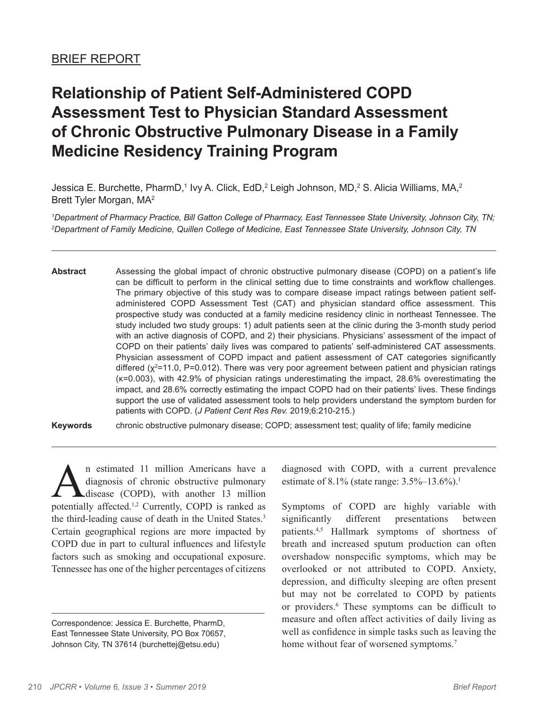## **Relationship of Patient Self-Administered COPD Assessment Test to Physician Standard Assessment of Chronic Obstructive Pulmonary Disease in a Family Medicine Residency Training Program**

Jessica E. Burchette, PharmD,1 Ivy A. Click, EdD,<sup>2</sup> Leigh Johnson, MD,<sup>2</sup> S. Alicia Williams, MA,<sup>2</sup> Brett Tyler Morgan, MA2

*1 Department of Pharmacy Practice, Bill Gatton College of Pharmacy, East Tennessee State University, Johnson City, TN; 2 Department of Family Medicine, Quillen College of Medicine, East Tennessee State University, Johnson City, TN*

**Abstract** Assessing the global impact of chronic obstructive pulmonary disease (COPD) on a patient's life can be difficult to perform in the clinical setting due to time constraints and workflow challenges. The primary objective of this study was to compare disease impact ratings between patient selfadministered COPD Assessment Test (CAT) and physician standard office assessment. This prospective study was conducted at a family medicine residency clinic in northeast Tennessee. The study included two study groups: 1) adult patients seen at the clinic during the 3-month study period with an active diagnosis of COPD, and 2) their physicians. Physicians' assessment of the impact of COPD on their patients' daily lives was compared to patients' self-administered CAT assessments. Physician assessment of COPD impact and patient assessment of CAT categories significantly differed (χ<sup>2</sup>=11.0, P=0.012). There was very poor agreement between patient and physician ratings (κ=0.003), with 42.9% of physician ratings underestimating the impact, 28.6% overestimating the impact, and 28.6% correctly estimating the impact COPD had on their patients' lives. These findings support the use of validated assessment tools to help providers understand the symptom burden for patients with COPD. (*J Patient Cent Res Rev.* 2019;6:210-215.)

**Keywords** chronic obstructive pulmonary disease; COPD; assessment test; quality of life; family medicine

 $\sum_{\text{diagnosis of chronic obstructive pulmonary}}$  a diagnosis of chronic obstructive pulmonary<br>notentially affected <sup>1,2</sup> Currently COPD is ranked as diagnosis of chronic obstructive pulmonary disease (COPD), with another 13 million potentially affected.<sup>1,2</sup> Currently, COPD is ranked as the third-leading cause of death in the United States.3 Certain geographical regions are more impacted by COPD due in part to cultural influences and lifestyle factors such as smoking and occupational exposure. Tennessee has one of the higher percentages of citizens

diagnosed with COPD, with a current prevalence estimate of 8.1% (state range: 3.5%–13.6%).<sup>1</sup>

Symptoms of COPD are highly variable with significantly different presentations between patients.4,5 Hallmark symptoms of shortness of breath and increased sputum production can often overshadow nonspecific symptoms, which may be overlooked or not attributed to COPD. Anxiety, depression, and difficulty sleeping are often present but may not be correlated to COPD by patients or providers.<sup>6</sup> These symptoms can be difficult to measure and often affect activities of daily living as well as confidence in simple tasks such as leaving the home without fear of worsened symptoms.<sup>7</sup>

Correspondence: Jessica E. Burchette, PharmD, East Tennessee State University, PO Box 70657, Johnson City, TN 37614 (burchettej@etsu.edu)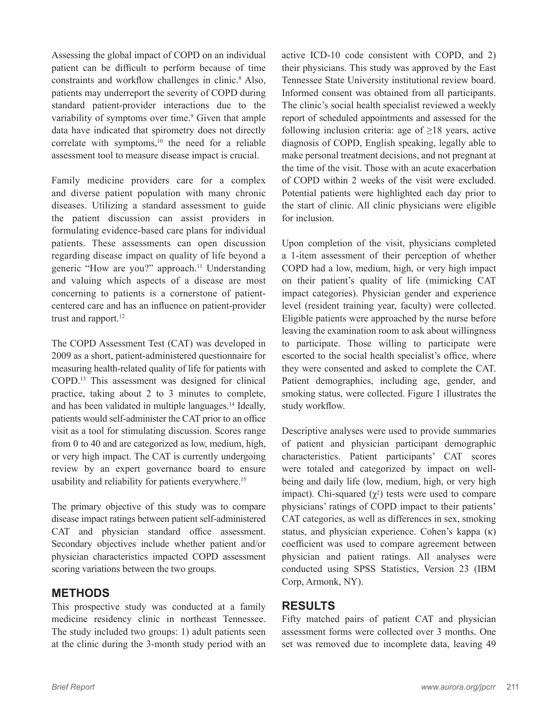Assessing the global impact of COPD on an individual patient can be difficult to perform because of time constraints and workflow challenges in clinic.<sup>8</sup> Also, patients may underreport the severity of COPD during standard patient-provider interactions due to the variability of symptoms over time.<sup>9</sup> Given that ample data have indicated that spirometry does not directly correlate with symptoms,<sup>10</sup> the need for a reliable assessment tool to measure disease impact is crucial.

Family medicine providers care for a complex and diverse patient population with many chronic diseases. Utilizing a standard assessment to guide the patient discussion can assist providers in formulating evidence-based care plans for individual patients. These assessments can open discussion regarding disease impact on quality of life beyond a generic "How are you?" approach.<sup>11</sup> Understanding and valuing which aspects of a disease are most concerning to patients is a cornerstone of patientcentered care and has an influence on patient-provider trust and rapport.<sup>12</sup>

The COPD Assessment Test (CAT) was developed in 2009 as a short, patient-administered questionnaire for measuring health-related quality of life for patients with COPD.13 This assessment was designed for clinical practice, taking about 2 to 3 minutes to complete, and has been validated in multiple languages.14 Ideally, patients would self-administer the CAT prior to an office visit as a tool for stimulating discussion. Scores range from 0 to 40 and are categorized as low, medium, high, or very high impact. The CAT is currently undergoing review by an expert governance board to ensure usability and reliability for patients everywhere.<sup>15</sup>

The primary objective of this study was to compare disease impact ratings between patient self-administered CAT and physician standard office assessment. Secondary objectives include whether patient and/or physician characteristics impacted COPD assessment scoring variations between the two groups.

## **METHODS**

This prospective study was conducted at a family medicine residency clinic in northeast Tennessee. The study included two groups: 1) adult patients seen at the clinic during the 3-month study period with an active ICD-10 code consistent with COPD, and 2) their physicians. This study was approved by the East Tennessee State University institutional review board. Informed consent was obtained from all participants. The clinic's social health specialist reviewed a weekly report of scheduled appointments and assessed for the following inclusion criteria: age of  $\geq$ 18 years, active diagnosis of COPD, English speaking, legally able to make personal treatment decisions, and not pregnant at the time of the visit. Those with an acute exacerbation of COPD within 2 weeks of the visit were excluded. Potential patients were highlighted each day prior to the start of clinic. All clinic physicians were eligible for inclusion.

Upon completion of the visit, physicians completed a 1-item assessment of their perception of whether COPD had a low, medium, high, or very high impact on their patient's quality of life (mimicking CAT impact categories). Physician gender and experience level (resident training year, faculty) were collected. Eligible patients were approached by the nurse before leaving the examination room to ask about willingness to participate. Those willing to participate were escorted to the social health specialist's office, where they were consented and asked to complete the CAT. Patient demographics, including age, gender, and smoking status, were collected. Figure 1 illustrates the study workflow.

Descriptive analyses were used to provide summaries of patient and physician participant demographic characteristics. Patient participants' CAT scores were totaled and categorized by impact on wellbeing and daily life (low, medium, high, or very high impact). Chi-squared  $(\gamma^2)$  tests were used to compare physicians' ratings of COPD impact to their patients' CAT categories, as well as differences in sex, smoking status, and physician experience. Cohen's kappa (κ) coefficient was used to compare agreement between physician and patient ratings. All analyses were conducted using SPSS Statistics, Version 23 (IBM Corp, Armonk, NY).

## **RESULTS**

Fifty matched pairs of patient CAT and physician assessment forms were collected over 3 months. One set was removed due to incomplete data, leaving 49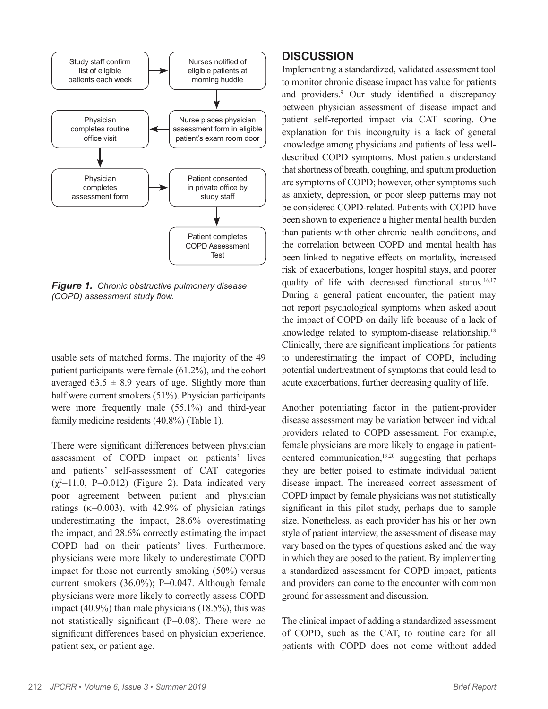

*Figure 1.**Chronic obstructive pulmonary disease (COPD) assessment study flow.*

usable sets of matched forms. The majority of the 49 patient participants were female (61.2%), and the cohort averaged  $63.5 \pm 8.9$  years of age. Slightly more than half were current smokers (51%). Physician participants were more frequently male (55.1%) and third-year family medicine residents (40.8%) (Table 1).

There were significant differences between physician assessment of COPD impact on patients' lives and patients' self-assessment of CAT categories  $(\chi^2=11.0, P=0.012)$  (Figure 2). Data indicated very poor agreement between patient and physician ratings ( $\kappa$ =0.003), with 42.9% of physician ratings underestimating the impact, 28.6% overestimating the impact, and 28.6% correctly estimating the impact COPD had on their patients' lives. Furthermore, physicians were more likely to underestimate COPD impact for those not currently smoking (50%) versus current smokers (36.0%); P=0.047. Although female physicians were more likely to correctly assess COPD impact (40.9%) than male physicians (18.5%), this was not statistically significant (P=0.08). There were no significant differences based on physician experience, patient sex, or patient age.

## **DISCUSSION**

Implementing a standardized, validated assessment tool to monitor chronic disease impact has value for patients and providers.9 Our study identified a discrepancy between physician assessment of disease impact and patient self-reported impact via CAT scoring. One explanation for this incongruity is a lack of general knowledge among physicians and patients of less welldescribed COPD symptoms. Most patients understand that shortness of breath, coughing, and sputum production are symptoms of COPD; however, other symptoms such as anxiety, depression, or poor sleep patterns may not be considered COPD-related. Patients with COPD have been shown to experience a higher mental health burden than patients with other chronic health conditions, and the correlation between COPD and mental health has been linked to negative effects on mortality, increased risk of exacerbations, longer hospital stays, and poorer quality of life with decreased functional status.<sup>16,17</sup> During a general patient encounter, the patient may not report psychological symptoms when asked about the impact of COPD on daily life because of a lack of knowledge related to symptom-disease relationship.<sup>18</sup> Clinically, there are significant implications for patients to underestimating the impact of COPD, including potential undertreatment of symptoms that could lead to acute exacerbations, further decreasing quality of life.

Another potentiating factor in the patient-provider disease assessment may be variation between individual providers related to COPD assessment. For example, female physicians are more likely to engage in patientcentered communication, $19,20$  suggesting that perhaps they are better poised to estimate individual patient disease impact. The increased correct assessment of COPD impact by female physicians was not statistically significant in this pilot study, perhaps due to sample size. Nonetheless, as each provider has his or her own style of patient interview, the assessment of disease may vary based on the types of questions asked and the way in which they are posed to the patient. By implementing a standardized assessment for COPD impact, patients and providers can come to the encounter with common ground for assessment and discussion.

The clinical impact of adding a standardized assessment of COPD, such as the CAT, to routine care for all patients with COPD does not come without added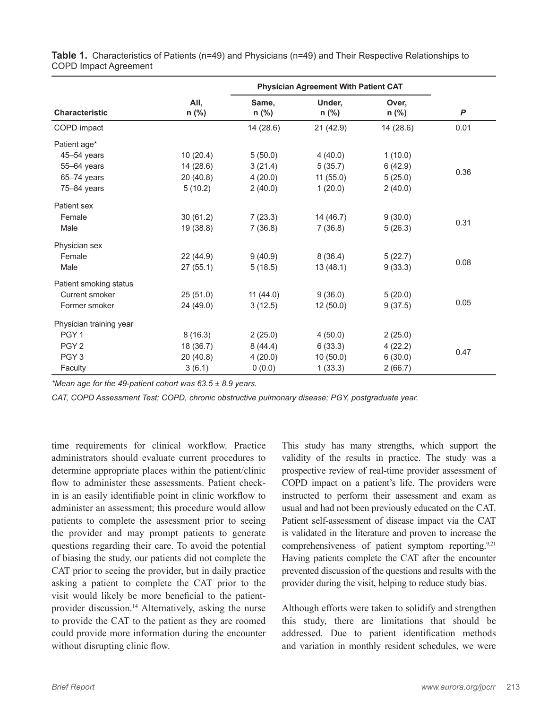|                         |                 | <b>Physician Agreement With Patient CAT</b> |                   |                  |                  |
|-------------------------|-----------------|---------------------------------------------|-------------------|------------------|------------------|
| <b>Characteristic</b>   | All,<br>$n$ (%) | Same,<br>$n$ (%)                            | Under,<br>$n$ (%) | Over,<br>$n$ (%) | $\boldsymbol{P}$ |
| COPD impact             |                 | 14(28.6)                                    | 21(42.9)          | 14 (28.6)        | 0.01             |
| Patient age*            |                 |                                             |                   |                  |                  |
| 45-54 years             | 10(20.4)        | 5(50.0)                                     | 4(40.0)           | 1(10.0)          | 0.36             |
| 55-64 years             | 14 (28.6)       | 3(21.4)                                     | 5(35.7)           | 6(42.9)          |                  |
| 65-74 years             | 20(40.8)        | 4(20.0)                                     | 11(55.0)          | 5(25.0)          |                  |
| 75-84 years             | 5(10.2)         | 2(40.0)                                     | 1(20.0)           | 2(40.0)          |                  |
| Patient sex             |                 |                                             |                   |                  |                  |
| Female                  | 30(61.2)        | 7(23.3)                                     | 14(46.7)          | 9(30.0)          | 0.31             |
| Male                    | 19 (38.8)       | 7(36.8)                                     | 7(36.8)           | 5(26.3)          |                  |
| Physician sex           |                 |                                             |                   |                  |                  |
| Female                  | 22 (44.9)       | 9(40.9)                                     | 8(36.4)           | 5(22.7)          | 0.08             |
| Male                    | 27(55.1)        | 5(18.5)                                     | 13(48.1)          | 9(33.3)          |                  |
| Patient smoking status  |                 |                                             |                   |                  |                  |
| Current smoker          | 25(51.0)        | 11(44.0)                                    | 9(36.0)           | 5(20.0)          | 0.05             |
| Former smoker           | 24 (49.0)       | 3(12.5)                                     | 12(50.0)          | 9(37.5)          |                  |
| Physician training year |                 |                                             |                   |                  |                  |
| PGY <sub>1</sub>        | 8(16.3)         | 2(25.0)                                     | 4(50.0)           | 2(25.0)          |                  |
| PGY <sub>2</sub>        | 18 (36.7)       | 8(44.4)                                     | 6(33.3)           | 4(22.2)          | 0.47             |
| PGY <sub>3</sub>        | 20 (40.8)       | 4(20.0)                                     | 10(50.0)          | 6(30.0)          |                  |
| Faculty                 | 3(6.1)          | 0(0.0)                                      | 1(33.3)           | 2(66.7)          |                  |

**Table 1.** Characteristics of Patients (n=49) and Physicians (n=49) and Their Respective Relationships to COPD Impact Agreement

*\*Mean age for the 49-patient cohort was 63.5 ± 8.9 years.*

*CAT, COPD Assessment Test; COPD, chronic obstructive pulmonary disease; PGY, postgraduate year.*

time requirements for clinical workflow. Practice administrators should evaluate current procedures to determine appropriate places within the patient/clinic flow to administer these assessments. Patient checkin is an easily identifiable point in clinic workflow to administer an assessment; this procedure would allow patients to complete the assessment prior to seeing the provider and may prompt patients to generate questions regarding their care. To avoid the potential of biasing the study, our patients did not complete the CAT prior to seeing the provider, but in daily practice asking a patient to complete the CAT prior to the visit would likely be more beneficial to the patientprovider discussion.14 Alternatively, asking the nurse to provide the CAT to the patient as they are roomed could provide more information during the encounter without disrupting clinic flow.

This study has many strengths, which support the validity of the results in practice. The study was a prospective review of real-time provider assessment of COPD impact on a patient's life. The providers were instructed to perform their assessment and exam as usual and had not been previously educated on the CAT. Patient self-assessment of disease impact via the CAT is validated in the literature and proven to increase the comprehensiveness of patient symptom reporting.<sup>9,21</sup> Having patients complete the CAT after the encounter prevented discussion of the questions and results with the provider during the visit, helping to reduce study bias.

Although efforts were taken to solidify and strengthen this study, there are limitations that should be addressed. Due to patient identification methods and variation in monthly resident schedules, we were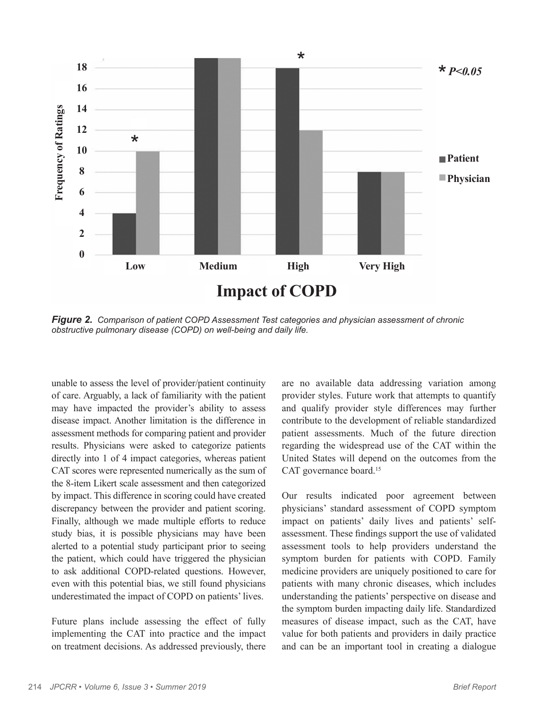

*Figure 2.**Comparison of patient COPD Assessment Test categories and physician assessment of chronic obstructive pulmonary disease (COPD) on well-being and daily life.*

unable to assess the level of provider/patient continuity of care. Arguably, a lack of familiarity with the patient may have impacted the provider's ability to assess disease impact. Another limitation is the difference in assessment methods for comparing patient and provider results. Physicians were asked to categorize patients directly into 1 of 4 impact categories, whereas patient CAT scores were represented numerically as the sum of the 8-item Likert scale assessment and then categorized by impact. This difference in scoring could have created discrepancy between the provider and patient scoring. Finally, although we made multiple efforts to reduce study bias, it is possible physicians may have been alerted to a potential study participant prior to seeing the patient, which could have triggered the physician to ask additional COPD-related questions. However, even with this potential bias, we still found physicians underestimated the impact of COPD on patients' lives.

Future plans include assessing the effect of fully implementing the CAT into practice and the impact on treatment decisions. As addressed previously, there

are no available data addressing variation among provider styles. Future work that attempts to quantify and qualify provider style differences may further contribute to the development of reliable standardized patient assessments. Much of the future direction regarding the widespread use of the CAT within the United States will depend on the outcomes from the CAT governance board.<sup>15</sup>

Our results indicated poor agreement between physicians' standard assessment of COPD symptom impact on patients' daily lives and patients' selfassessment. These findings support the use of validated assessment tools to help providers understand the symptom burden for patients with COPD. Family medicine providers are uniquely positioned to care for patients with many chronic diseases, which includes understanding the patients' perspective on disease and the symptom burden impacting daily life. Standardized measures of disease impact, such as the CAT, have value for both patients and providers in daily practice and can be an important tool in creating a dialogue